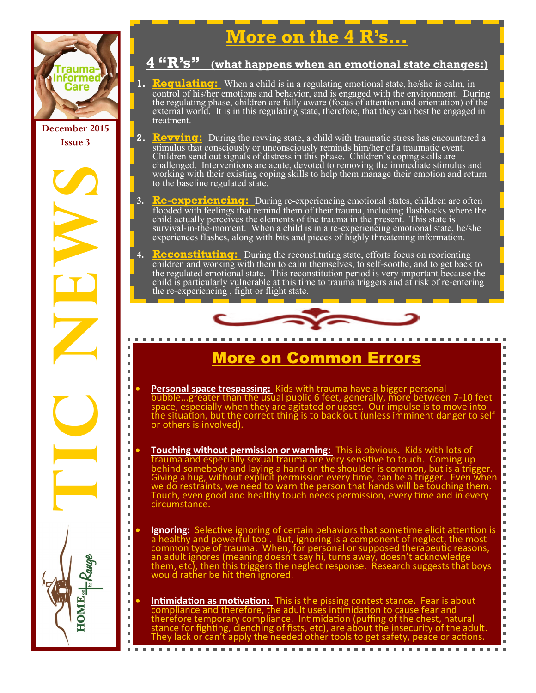

**December 2015 Issue 3**

**TIC NEWSPAPE** 

 $\blacksquare$  $\blacksquare$ 

 $\blacksquare$ 

 $\blacksquare$ 

Ξ

 $\blacksquare$ 

j.

 $\blacksquare$ 

 $\blacksquare$ 

 $\blacksquare$ 

 $\blacksquare$ 

 $\blacksquare$ 

 $\blacksquare$ 

 $\blacksquare$ 

 $\blacksquare$ m.

HOME.

. . . . . . . . . . . . . . . . .

# **More on the 4 R's…**

#### **4 "R's" (what happens when an emotional state changes:)**

- **1. <b>Requisiting:** When a child is in a regulating emotional state, he/she is calm, in control of his/her emotions and behavior, and is engaged with the environment. During the regulating phase, children are fully aware (focus of attention and orientation) of the external world. It is in this regulating state, therefore, that they can best be engaged in treatment.
- **2. <b>Revving:** During the revving state, a child with traumatic stress has encountered a stimulus that consciously or unconsciously reminds him/her of a traumatic event. Children send out signals of distress in this phase. Children's coping skills are challenged. Interventions are acute, devoted to removing the immediate stimulus and working with their existing coping skills to help them manage their emotion and return to the baseline regulated state.
- **3. Re-experiencing:** During re-experiencing emotional states, children are often flooded with feelings that remind them of their trauma, including flashbacks where the child actually perceives the elements of the trauma in the present. This state is survival-in-the-moment. When  $\overline{a}$  child is in a re-experiencing emotional state, he/she experiences flashes, along with bits and pieces of highly threatening information.
- **4. Reconstituting:** During the reconstituting state, efforts focus on reorienting children and working with them to calm themselves, to self-soothe, and to get back to the regulated emotional state. This reconstitution period is very important because the child is particularly vulnerable at this time to trauma triggers and at risk of re-entering the re-experiencing , fight or flight state.



### More on Common Errors

 $\bar{\mathbf{u}}$ × n.

 $\blacksquare$ ×  $\blacksquare$  $\bar{\mathbf{u}}$  $\blacksquare$  $\blacksquare$  $\blacksquare$  $\blacksquare$  $\blacksquare$  $\blacksquare$  $\bar{\alpha}$  $\blacksquare$ 

 $\blacksquare$ 

 $\blacksquare$ 

 $\blacksquare$ 

 $\blacksquare$ 

×,

 $\bar{\phantom{a}}$ 

 $\blacksquare$ 

 $\bar{a}$ 

 $\blacksquare$ 

 $\bar{\bar{a}}$ 

 $\blacksquare$ 

 $\blacksquare$ 

 $\blacksquare$  $\blacksquare$ 

- **Personal space trespassing:** Kids with trauma have a bigger personal bubble...greater than the usual public 6 feet, generally, more between 7-10 feet space, especially when they are agitated or upset. Our impulse is to move into the situation, but the correct thing is to back out (unless imminent danger to self or others is involved).
- **Touching without permission or warning:** This is obvious. Kids with lots of trauma and especially sexual trauma are very sensitive to touch. Coming up behind somebody and laying a hand on the shoulder is common, but is a trigger. Giving a hug, without explicit permission every time, can be a trigger. Even when we do restraints, we need to warn the person that hands will be touching them. Touch, even good and healthy touch needs permission, every time and in every circumstance.
- **Ignoring:** Selective ignoring of certain behaviors that sometime elicit attention is a healthy and powerful tool. But, ignoring is a component of neglect, the most common type of trauma. When, for personal or supposed therapeutic reasons, an adult ignores (meaning doesn't say hi, turns away, doesn't acknowledge them, etc), then this triggers the neglect response. Research suggests that boys would rather be hit then ignored.
- **Intimidation as motivation:** This is the pissing contest stance. Fear is about compliance and therefore, the adult uses intimidation to cause fear and therefore temporary compliance. Intimidation (puffing of the chest, natural stance for fighting, clenching of fists, etc), are about the insecurity of the adult. They lack or can't apply the needed other tools to get safety, peace or actions.